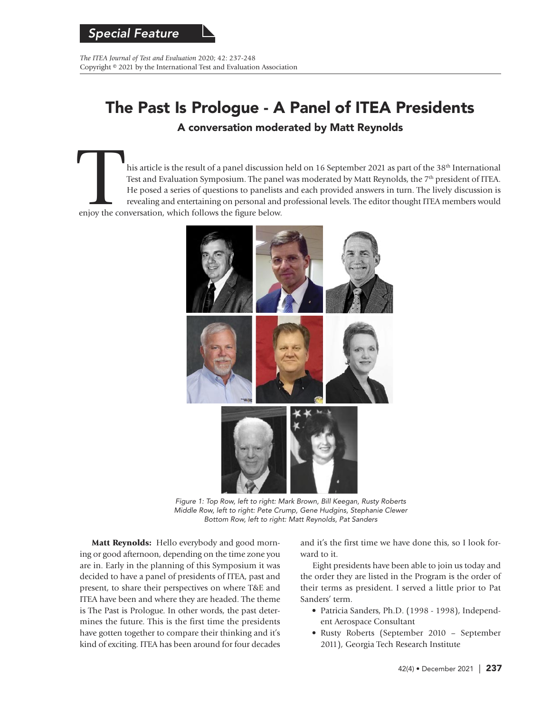*The ITEA Journal of Test and Evaluation* 2020; 42: 237-248 Copyright © 2021 by the International Test and Evaluation Association

# The Past Is Prologue - A Panel of ITEA Presidents

A conversation moderated by Matt Reynolds

his article is the result of a panel discussion held on 16 September 2021 as part of the 38<sup>th</sup> International Test and Evaluation Symposium. The panel was moderated by Matt Reynolds, the 7<sup>th</sup> president of ITEA. He posed a series of questions to panelists and each provided answers in turn. The lively discussion is revealing and entertaining on personal and professional levels. The editor thought ITEA members would enjoy the conversation, which follows the figure below.



Figure 1: Top Row, left to right: Mark Brown, Bill Keegan, Rusty Roberts Middle Row, left to right: Pete Crump, Gene Hudgins, Stephanie Clewer Bottom Row, left to right: Matt Reynolds, Pat Sanders

**Matt Reynolds:** Hello everybody and good morning or good afternoon, depending on the time zone you are in. Early in the planning of this Symposium it was decided to have a panel of presidents of ITEA, past and present, to share their perspectives on where T&E and ITEA have been and where they are headed. The theme is The Past is Prologue. In other words, the past determines the future. This is the first time the presidents have gotten together to compare their thinking and it's kind of exciting. ITEA has been around for four decades and it's the first time we have done this, so I look forward to it.

Eight presidents have been able to join us today and the order they are listed in the Program is the order of their terms as president. I served a little prior to Pat Sanders' term.

- Patricia Sanders, Ph.D. (1998 1998), Independent Aerospace Consultant
- Rusty Roberts (September 2010 September 2011), Georgia Tech Research Institute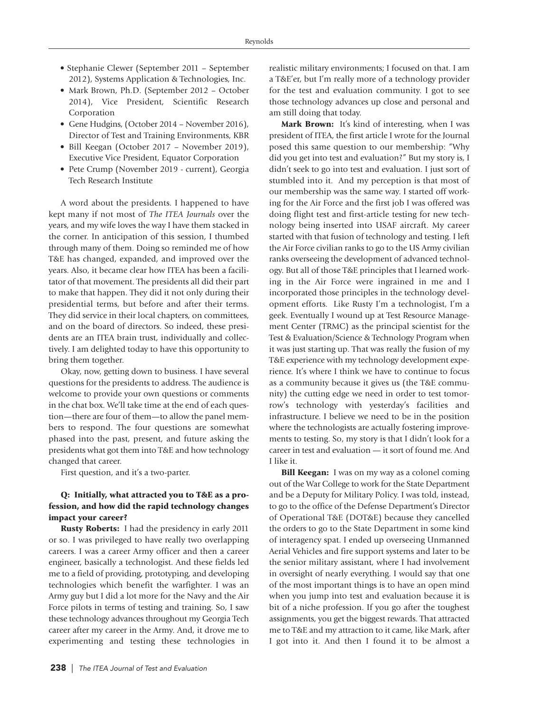- Stephanie Clewer (September 2011 September 2012), Systems Application & Technologies, Inc.
- Mark Brown, Ph.D. (September 2012 October 2014), Vice President, Scientific Research Corporation
- Gene Hudgins, (October 2014 November 2016), Director of Test and Training Environments, KBR
- Bill Keegan (October 2017 November 2019), Executive Vice President, Equator Corporation
- Pete Crump (November 2019 current), Georgia Tech Research Institute

A word about the presidents. I happened to have kept many if not most of *The ITEA Journals* over the years, and my wife loves the way I have them stacked in the corner. In anticipation of this session, I thumbed through many of them. Doing so reminded me of how T&E has changed, expanded, and improved over the years. Also, it became clear how ITEA has been a facilitator of that movement. The presidents all did their part to make that happen. They did it not only during their presidential terms, but before and after their terms. They did service in their local chapters, on committees, and on the board of directors. So indeed, these presidents are an ITEA brain trust, individually and collectively. I am delighted today to have this opportunity to bring them together.

Okay, now, getting down to business. I have several questions for the presidents to address. The audience is welcome to provide your own questions or comments in the chat box. We'll take time at the end of each question—there are four of them—to allow the panel members to respond. The four questions are somewhat phased into the past, present, and future asking the presidents what got them into T&E and how technology changed that career.

First question, and it's a two-parter.

#### **Q: Initially, what attracted you to T&E as a profession, and how did the rapid technology changes impact your career?**

**Rusty Roberts:** I had the presidency in early 2011 or so. I was privileged to have really two overlapping careers. I was a career Army officer and then a career engineer, basically a technologist. And these fields led me to a field of providing, prototyping, and developing technologies which benefit the warfighter. I was an Army guy but I did a lot more for the Navy and the Air Force pilots in terms of testing and training. So, I saw these technology advances throughout my Georgia Tech career after my career in the Army. And, it drove me to experimenting and testing these technologies in realistic military environments; I focused on that. I am a T&E'er, but I'm really more of a technology provider for the test and evaluation community. I got to see those technology advances up close and personal and am still doing that today.

**Mark Brown:** It's kind of interesting, when I was president of ITEA, the first article I wrote for the Journal posed this same question to our membership: "Why did you get into test and evaluation?" But my story is, I didn't seek to go into test and evaluation. I just sort of stumbled into it. And my perception is that most of our membership was the same way. I started off working for the Air Force and the first job I was offered was doing flight test and first-article testing for new technology being inserted into USAF aircraft. My career started with that fusion of technology and testing. I left the Air Force civilian ranks to go to the US Army civilian ranks overseeing the development of advanced technology. But all of those T&E principles that I learned working in the Air Force were ingrained in me and I incorporated those principles in the technology development efforts. Like Rusty I'm a technologist, I'm a geek. Eventually I wound up at Test Resource Management Center (TRMC) as the principal scientist for the Test & Evaluation/Science & Technology Program when it was just starting up. That was really the fusion of my T&E experience with my technology development experience. It's where I think we have to continue to focus as a community because it gives us (the T&E community) the cutting edge we need in order to test tomorrow's technology with yesterday's facilities and infrastructure. I believe we need to be in the position where the technologists are actually fostering improvements to testing. So, my story is that I didn't look for a career in test and evaluation — it sort of found me. And I like it.

**Bill Keegan:** I was on my way as a colonel coming out of the War College to work for the State Department and be a Deputy for Military Policy. I was told, instead, to go to the office of the Defense Department's Director of Operational T&E (DOT&E) because they cancelled the orders to go to the State Department in some kind of interagency spat. I ended up overseeing Unmanned Aerial Vehicles and fire support systems and later to be the senior military assistant, where I had involvement in oversight of nearly everything. I would say that one of the most important things is to have an open mind when you jump into test and evaluation because it is bit of a niche profession. If you go after the toughest assignments, you get the biggest rewards. That attracted me to T&E and my attraction to it came, like Mark, after I got into it. And then I found it to be almost a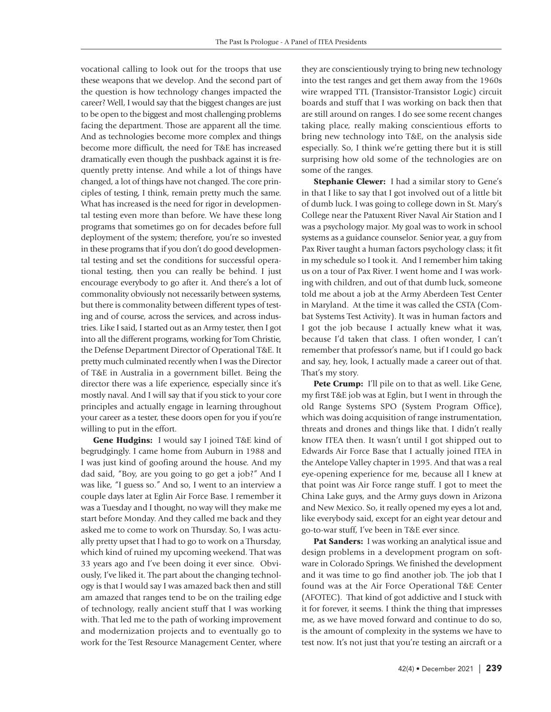vocational calling to look out for the troops that use these weapons that we develop. And the second part of the question is how technology changes impacted the career? Well, I would say that the biggest changes are just to be open to the biggest and most challenging problems facing the department. Those are apparent all the time. And as technologies become more complex and things become more difficult, the need for T&E has increased dramatically even though the pushback against it is frequently pretty intense. And while a lot of things have changed, a lot of things have not changed. The core principles of testing, I think, remain pretty much the same. What has increased is the need for rigor in developmental testing even more than before. We have these long programs that sometimes go on for decades before full deployment of the system; therefore, you're so invested in these programs that if you don't do good developmental testing and set the conditions for successful operational testing, then you can really be behind. I just encourage everybody to go after it. And there's a lot of commonality obviously not necessarily between systems, but there is commonality between different types of testing and of course, across the services, and across industries. Like I said, I started out as an Army tester, then I got into all the different programs, working for Tom Christie, the Defense Department Director of Operational T&E. It pretty much culminated recently when I was the Director of T&E in Australia in a government billet. Being the director there was a life experience, especially since it's mostly naval. And I will say that if you stick to your core principles and actually engage in learning throughout your career as a tester, these doors open for you if you're willing to put in the effort.

**Gene Hudgins:** I would say I joined T&E kind of begrudgingly. I came home from Auburn in 1988 and I was just kind of goofing around the house. And my dad said, "Boy, are you going to go get a job?" And I was like, "I guess so." And so, I went to an interview a couple days later at Eglin Air Force Base. I remember it was a Tuesday and I thought, no way will they make me start before Monday. And they called me back and they asked me to come to work on Thursday. So, I was actually pretty upset that I had to go to work on a Thursday, which kind of ruined my upcoming weekend. That was 33 years ago and I've been doing it ever since. Obviously, I've liked it. The part about the changing technology is that I would say I was amazed back then and still am amazed that ranges tend to be on the trailing edge of technology, really ancient stuff that I was working with. That led me to the path of working improvement and modernization projects and to eventually go to work for the Test Resource Management Center, where

they are conscientiously trying to bring new technology into the test ranges and get them away from the 1960s wire wrapped TTL (Transistor-Transistor Logic) circuit boards and stuff that I was working on back then that are still around on ranges. I do see some recent changes taking place, really making conscientious efforts to bring new technology into T&E, on the analysis side especially. So, I think we're getting there but it is still surprising how old some of the technologies are on some of the ranges.

**Stephanie Clewer:** I had a similar story to Gene's in that I like to say that I got involved out of a little bit of dumb luck. I was going to college down in St. Mary's College near the Patuxent River Naval Air Station and I was a psychology major. My goal was to work in school systems as a guidance counselor. Senior year, a guy from Pax River taught a human factors psychology class; it fit in my schedule so I took it. And I remember him taking us on a tour of Pax River. I went home and I was working with children, and out of that dumb luck, someone told me about a job at the Army Aberdeen Test Center in Maryland. At the time it was called the CSTA (Combat Systems Test Activity). It was in human factors and I got the job because I actually knew what it was, because I'd taken that class. I often wonder, I can't remember that professor's name, but if I could go back and say, hey, look, I actually made a career out of that. That's my story.

**Pete Crump:** I'll pile on to that as well. Like Gene, my first T&E job was at Eglin, but I went in through the old Range Systems SPO (System Program Office), which was doing acquisition of range instrumentation, threats and drones and things like that. I didn't really know ITEA then. It wasn't until I got shipped out to Edwards Air Force Base that I actually joined ITEA in the Antelope Valley chapter in 1995. And that was a real eye-opening experience for me, because all I knew at that point was Air Force range stuff. I got to meet the China Lake guys, and the Army guys down in Arizona and New Mexico. So, it really opened my eyes a lot and, like everybody said, except for an eight year detour and go-to-war stuff, I've been in T&E ever since.

**Pat Sanders:** I was working an analytical issue and design problems in a development program on software in Colorado Springs. We finished the development and it was time to go find another job. The job that I found was at the Air Force Operational T&E Center (AFOTEC). That kind of got addictive and I stuck with it for forever, it seems. I think the thing that impresses me, as we have moved forward and continue to do so, is the amount of complexity in the systems we have to test now. It's not just that you're testing an aircraft or a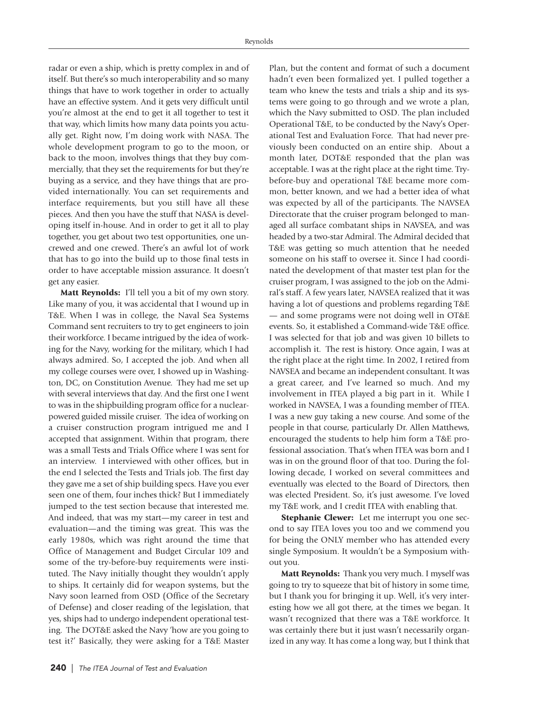radar or even a ship, which is pretty complex in and of itself. But there's so much interoperability and so many things that have to work together in order to actually have an effective system. And it gets very difficult until you're almost at the end to get it all together to test it that way, which limits how many data points you actually get. Right now, I'm doing work with NASA. The whole development program to go to the moon, or back to the moon, involves things that they buy commercially, that they set the requirements for but they're buying as a service, and they have things that are provided internationally. You can set requirements and interface requirements, but you still have all these pieces. And then you have the stuff that NASA is developing itself in-house. And in order to get it all to play together, you get about two test opportunities, one uncrewed and one crewed. There's an awful lot of work that has to go into the build up to those final tests in order to have acceptable mission assurance. It doesn't get any easier.

**Matt Reynolds:** I'll tell you a bit of my own story. Like many of you, it was accidental that I wound up in T&E. When I was in college, the Naval Sea Systems Command sent recruiters to try to get engineers to join their workforce. I became intrigued by the idea of working for the Navy, working for the military, which I had always admired. So, I accepted the job. And when all my college courses were over, I showed up in Washington, DC, on Constitution Avenue. They had me set up with several interviews that day. And the first one I went to was in the shipbuilding program office for a nuclearpowered guided missile cruiser. The idea of working on a cruiser construction program intrigued me and I accepted that assignment. Within that program, there was a small Tests and Trials Office where I was sent for an interview. I interviewed with other offices, but in the end I selected the Tests and Trials job. The first day they gave me a set of ship building specs. Have you ever seen one of them, four inches thick? But I immediately jumped to the test section because that interested me. And indeed, that was my start—my career in test and evaluation—and the timing was great. This was the early 1980s, which was right around the time that Office of Management and Budget Circular 109 and some of the try-before-buy requirements were instituted. The Navy initially thought they wouldn't apply to ships. It certainly did for weapon systems, but the Navy soon learned from OSD (Office of the Secretary of Defense) and closer reading of the legislation, that yes, ships had to undergo independent operational testing. The DOT&E asked the Navy 'how are you going to test it?' Basically, they were asking for a T&E Master

**240** | The ITEA Journal of Test and Evaluation

Plan, but the content and format of such a document hadn't even been formalized yet. I pulled together a team who knew the tests and trials a ship and its systems were going to go through and we wrote a plan, which the Navy submitted to OSD. The plan included Operational T&E, to be conducted by the Navy's Operational Test and Evaluation Force. That had never previously been conducted on an entire ship. About a month later, DOT&E responded that the plan was acceptable. I was at the right place at the right time. Trybefore-buy and operational T&E became more common, better known, and we had a better idea of what was expected by all of the participants. The NAVSEA Directorate that the cruiser program belonged to managed all surface combatant ships in NAVSEA, and was headed by a two-star Admiral. The Admiral decided that T&E was getting so much attention that he needed someone on his staff to oversee it. Since I had coordinated the development of that master test plan for the cruiser program, I was assigned to the job on the Admiral's staff. A few years later, NAVSEA realized that it was having a lot of questions and problems regarding T&E — and some programs were not doing well in OT&E events. So, it established a Command-wide T&E office. I was selected for that job and was given 10 billets to accomplish it. The rest is history. Once again, I was at the right place at the right time. In 2002, I retired from NAVSEA and became an independent consultant. It was a great career, and I've learned so much. And my involvement in ITEA played a big part in it. While I worked in NAVSEA, I was a founding member of ITEA. I was a new guy taking a new course. And some of the people in that course, particularly Dr. Allen Matthews, encouraged the students to help him form a T&E professional association. That's when ITEA was born and I was in on the ground floor of that too. During the following decade, I worked on several committees and eventually was elected to the Board of Directors, then was elected President. So, it's just awesome. I've loved my T&E work, and I credit ITEA with enabling that.

**Stephanie Clewer:** Let me interrupt you one second to say ITEA loves you too and we commend you for being the ONLY member who has attended every single Symposium. It wouldn't be a Symposium without you.

**Matt Reynolds:** Thank you very much. I myself was going to try to squeeze that bit of history in some time, but I thank you for bringing it up. Well, it's very interesting how we all got there, at the times we began. It wasn't recognized that there was a T&E workforce. It was certainly there but it just wasn't necessarily organized in any way. It has come a long way, but I think that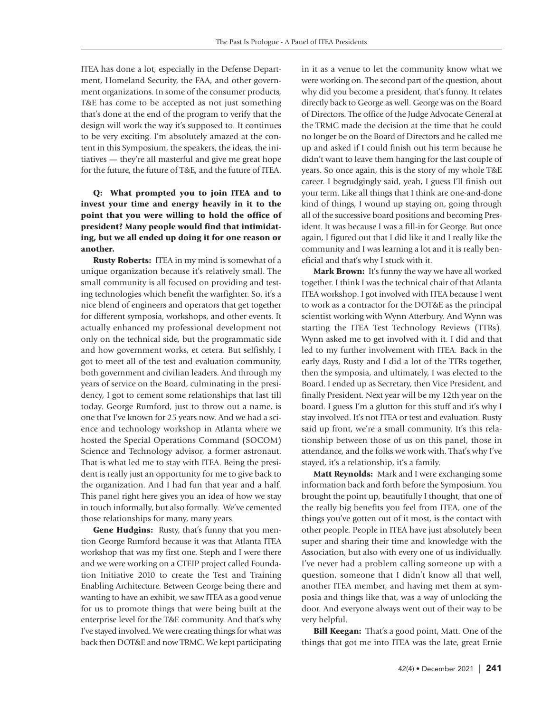ITEA has done a lot, especially in the Defense Department, Homeland Security, the FAA, and other government organizations. In some of the consumer products, T&E has come to be accepted as not just something that's done at the end of the program to verify that the design will work the way it's supposed to. It continues to be very exciting. I'm absolutely amazed at the content in this Symposium, the speakers, the ideas, the initiatives — they're all masterful and give me great hope for the future, the future of T&E, and the future of ITEA.

### **Q: What prompted you to join ITEA and to invest your time and energy heavily in it to the point that you were willing to hold the office of president? Many people would find that intimidating, but we all ended up doing it for one reason or another.**

**Rusty Roberts:** ITEA in my mind is somewhat of a unique organization because it's relatively small. The small community is all focused on providing and testing technologies which benefit the warfighter. So, it's a nice blend of engineers and operators that get together for different symposia, workshops, and other events. It actually enhanced my professional development not only on the technical side, but the programmatic side and how government works, et cetera. But selfishly, I got to meet all of the test and evaluation community, both government and civilian leaders. And through my years of service on the Board, culminating in the presidency, I got to cement some relationships that last till today. George Rumford, just to throw out a name, is one that I've known for 25 years now. And we had a science and technology workshop in Atlanta where we hosted the Special Operations Command (SOCOM) Science and Technology advisor, a former astronaut. That is what led me to stay with ITEA. Being the president is really just an opportunity for me to give back to the organization. And I had fun that year and a half. This panel right here gives you an idea of how we stay in touch informally, but also formally. We've cemented those relationships for many, many years.

**Gene Hudgins:** Rusty, that's funny that you mention George Rumford because it was that Atlanta ITEA workshop that was my first one. Steph and I were there and we were working on a CTEIP project called Foundation Initiative 2010 to create the Test and Training Enabling Architecture. Between George being there and wanting to have an exhibit, we saw ITEA as a good venue for us to promote things that were being built at the enterprise level for the T&E community. And that's why I've stayed involved. We were creating things for what was back then DOT&E and now TRMC. We kept participating in it as a venue to let the community know what we were working on. The second part of the question, about why did you become a president, that's funny. It relates directly back to George as well. George was on the Board of Directors. The office of the Judge Advocate General at the TRMC made the decision at the time that he could no longer be on the Board of Directors and he called me up and asked if I could finish out his term because he didn't want to leave them hanging for the last couple of years. So once again, this is the story of my whole T&E career. I begrudgingly said, yeah, I guess I'll finish out your term. Like all things that I think are one-and-done kind of things, I wound up staying on, going through all of the successive board positions and becoming President. It was because I was a fill-in for George. But once again, I figured out that I did like it and I really like the community and I was learning a lot and it is really beneficial and that's why I stuck with it.

**Mark Brown:** It's funny the way we have all worked together. I think I was the technical chair of that Atlanta ITEA workshop. I got involved with ITEA because I went to work as a contractor for the DOT&E as the principal scientist working with Wynn Atterbury. And Wynn was starting the ITEA Test Technology Reviews (TTRs). Wynn asked me to get involved with it. I did and that led to my further involvement with ITEA. Back in the early days, Rusty and I did a lot of the TTRs together, then the symposia, and ultimately, I was elected to the Board. I ended up as Secretary, then Vice President, and finally President. Next year will be my 12th year on the board. I guess I'm a glutton for this stuff and it's why I stay involved. It's not ITEA or test and evaluation. Rusty said up front, we're a small community. It's this relationship between those of us on this panel, those in attendance, and the folks we work with. That's why I've stayed, it's a relationship, it's a family.

**Matt Reynolds:** Mark and I were exchanging some information back and forth before the Symposium. You brought the point up, beautifully I thought, that one of the really big benefits you feel from ITEA, one of the things you've gotten out of it most, is the contact with other people. People in ITEA have just absolutely been super and sharing their time and knowledge with the Association, but also with every one of us individually. I've never had a problem calling someone up with a question, someone that I didn't know all that well, another ITEA member, and having met them at symposia and things like that, was a way of unlocking the door. And everyone always went out of their way to be very helpful.

**Bill Keegan:** That's a good point, Matt. One of the things that got me into ITEA was the late, great Ernie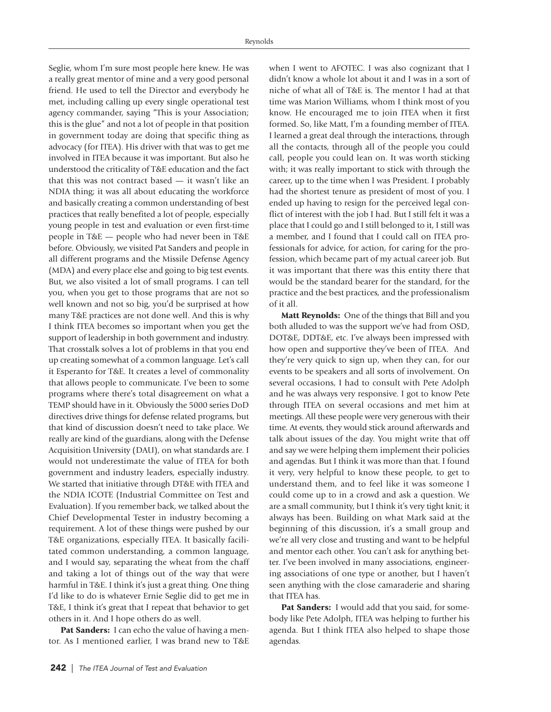Seglie, whom I'm sure most people here knew. He was a really great mentor of mine and a very good personal friend. He used to tell the Director and everybody he met, including calling up every single operational test agency commander, saying "This is your Association; this is the glue" and not a lot of people in that position in government today are doing that specific thing as advocacy (for ITEA). His driver with that was to get me involved in ITEA because it was important. But also he understood the criticality of T&E education and the fact that this was not contract based — it wasn't like an NDIA thing; it was all about educating the workforce and basically creating a common understanding of best practices that really benefited a lot of people, especially young people in test and evaluation or even first-time people in T&E — people who had never been in T&E before. Obviously, we visited Pat Sanders and people in all different programs and the Missile Defense Agency (MDA) and every place else and going to big test events. But, we also visited a lot of small programs. I can tell you, when you get to those programs that are not so well known and not so big, you'd be surprised at how many T&E practices are not done well. And this is why I think ITEA becomes so important when you get the support of leadership in both government and industry. That crosstalk solves a lot of problems in that you end up creating somewhat of a common language. Let's call it Esperanto for T&E. It creates a level of commonality that allows people to communicate. I've been to some programs where there's total disagreement on what a TEMP should have in it. Obviously the 5000 series DoD directives drive things for defense related programs, but that kind of discussion doesn't need to take place. We really are kind of the guardians, along with the Defense Acquisition University (DAU), on what standards are. I would not underestimate the value of ITEA for both government and industry leaders, especially industry. We started that initiative through DT&E with ITEA and the NDIA ICOTE (Industrial Committee on Test and Evaluation). If you remember back, we talked about the Chief Developmental Tester in industry becoming a requirement. A lot of these things were pushed by our T&E organizations, especially ITEA. It basically facilitated common understanding, a common language, and I would say, separating the wheat from the chaff and taking a lot of things out of the way that were harmful in T&E. I think it's just a great thing. One thing I'd like to do is whatever Ernie Seglie did to get me in T&E, I think it's great that I repeat that behavior to get others in it. And I hope others do as well.

**Pat Sanders:** I can echo the value of having a mentor. As I mentioned earlier, I was brand new to T&E when I went to AFOTEC. I was also cognizant that I didn't know a whole lot about it and I was in a sort of niche of what all of T&E is. The mentor I had at that time was Marion Williams, whom I think most of you know. He encouraged me to join ITEA when it first formed. So, like Matt, I'm a founding member of ITEA. I learned a great deal through the interactions, through all the contacts, through all of the people you could call, people you could lean on. It was worth sticking with; it was really important to stick with through the career, up to the time when I was President. I probably had the shortest tenure as president of most of you. I ended up having to resign for the perceived legal conflict of interest with the job I had. But I still felt it was a place that I could go and I still belonged to it, I still was a member, and I found that I could call on ITEA professionals for advice, for action, for caring for the profession, which became part of my actual career job. But it was important that there was this entity there that would be the standard bearer for the standard, for the practice and the best practices, and the professionalism of it all.

**Matt Reynolds:** One of the things that Bill and you both alluded to was the support we've had from OSD, DOT&E, DDT&E, etc. I've always been impressed with how open and supportive they've been of ITEA. And they're very quick to sign up, when they can, for our events to be speakers and all sorts of involvement. On several occasions, I had to consult with Pete Adolph and he was always very responsive. I got to know Pete through ITEA on several occasions and met him at meetings. All these people were very generous with their time. At events, they would stick around afterwards and talk about issues of the day. You might write that off and say we were helping them implement their policies and agendas. But I think it was more than that. I found it very, very helpful to know these people, to get to understand them, and to feel like it was someone I could come up to in a crowd and ask a question. We are a small community, but I think it's very tight knit; it always has been. Building on what Mark said at the beginning of this discussion, it's a small group and we're all very close and trusting and want to be helpful and mentor each other. You can't ask for anything better. I've been involved in many associations, engineering associations of one type or another, but I haven't seen anything with the close camaraderie and sharing that ITEA has.

Pat Sanders: I would add that you said, for somebody like Pete Adolph, ITEA was helping to further his agenda. But I think ITEA also helped to shape those agendas.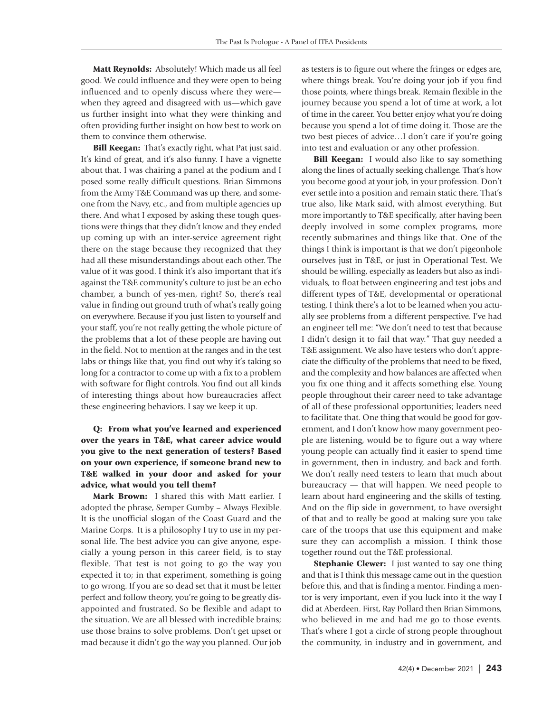**Matt Reynolds:** Absolutely! Which made us all feel good. We could influence and they were open to being influenced and to openly discuss where they were when they agreed and disagreed with us—which gave us further insight into what they were thinking and often providing further insight on how best to work on them to convince them otherwise.

**Bill Keegan:** That's exactly right, what Pat just said. It's kind of great, and it's also funny. I have a vignette about that. I was chairing a panel at the podium and I posed some really difficult questions. Brian Simmons from the Army T&E Command was up there, and someone from the Navy, etc., and from multiple agencies up there. And what I exposed by asking these tough questions were things that they didn't know and they ended up coming up with an inter-service agreement right there on the stage because they recognized that they had all these misunderstandings about each other. The value of it was good. I think it's also important that it's against the T&E community's culture to just be an echo chamber, a bunch of yes-men, right? So, there's real value in finding out ground truth of what's really going on everywhere. Because if you just listen to yourself and your staff, you're not really getting the whole picture of the problems that a lot of these people are having out in the field. Not to mention at the ranges and in the test labs or things like that, you find out why it's taking so long for a contractor to come up with a fix to a problem with software for flight controls. You find out all kinds of interesting things about how bureaucracies affect these engineering behaviors. I say we keep it up.

**Q: From what you've learned and experienced over the years in T&E, what career advice would you give to the next generation of testers? Based on your own experience, if someone brand new to T&E walked in your door and asked for your advice, what would you tell them?**

**Mark Brown:** I shared this with Matt earlier. I adopted the phrase, Semper Gumby – Always Flexible. It is the unofficial slogan of the Coast Guard and the Marine Corps. It is a philosophy I try to use in my personal life. The best advice you can give anyone, especially a young person in this career field, is to stay flexible. That test is not going to go the way you expected it to; in that experiment, something is going to go wrong. If you are so dead set that it must be letter perfect and follow theory, you're going to be greatly disappointed and frustrated. So be flexible and adapt to the situation. We are all blessed with incredible brains; use those brains to solve problems. Don't get upset or mad because it didn't go the way you planned. Our job

as testers is to figure out where the fringes or edges are, where things break. You're doing your job if you find those points, where things break. Remain flexible in the journey because you spend a lot of time at work, a lot of time in the career. You better enjoy what you're doing because you spend a lot of time doing it. Those are the two best pieces of advice…I don't care if you're going into test and evaluation or any other profession.

**Bill Keegan:** I would also like to say something along the lines of actually seeking challenge. That's how you become good at your job, in your profession. Don't ever settle into a position and remain static there. That's true also, like Mark said, with almost everything. But more importantly to T&E specifically, after having been deeply involved in some complex programs, more recently submarines and things like that. One of the things I think is important is that we don't pigeonhole ourselves just in T&E, or just in Operational Test. We should be willing, especially as leaders but also as individuals, to float between engineering and test jobs and different types of T&E, developmental or operational testing. I think there's a lot to be learned when you actually see problems from a different perspective. I've had an engineer tell me: "We don't need to test that because I didn't design it to fail that way." That guy needed a T&E assignment. We also have testers who don't appreciate the difficulty of the problems that need to be fixed, and the complexity and how balances are affected when you fix one thing and it affects something else. Young people throughout their career need to take advantage of all of these professional opportunities; leaders need to facilitate that. One thing that would be good for government, and I don't know how many government people are listening, would be to figure out a way where young people can actually find it easier to spend time in government, then in industry, and back and forth. We don't really need testers to learn that much about bureaucracy — that will happen. We need people to learn about hard engineering and the skills of testing. And on the flip side in government, to have oversight of that and to really be good at making sure you take care of the troops that use this equipment and make sure they can accomplish a mission. I think those together round out the T&E professional.

**Stephanie Clewer:** I just wanted to say one thing and that is I think this message came out in the question before this, and that is finding a mentor. Finding a mentor is very important, even if you luck into it the way I did at Aberdeen. First, Ray Pollard then Brian Simmons, who believed in me and had me go to those events. That's where I got a circle of strong people throughout the community, in industry and in government, and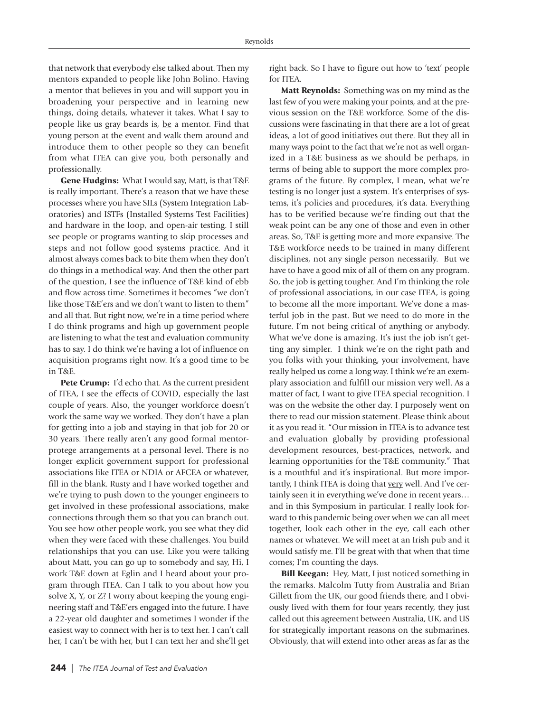that network that everybody else talked about. Then my mentors expanded to people like John Bolino. Having a mentor that believes in you and will support you in broadening your perspective and in learning new things, doing details, whatever it takes. What I say to people like us gray beards is, be a mentor. Find that young person at the event and walk them around and introduce them to other people so they can benefit from what ITEA can give you, both personally and professionally.

**Gene Hudgins:** What I would say, Matt, is that T&E is really important. There's a reason that we have these processes where you have SILs (System Integration Laboratories) and ISTFs (Installed Systems Test Facilities) and hardware in the loop, and open-air testing. I still see people or programs wanting to skip processes and steps and not follow good systems practice. And it almost always comes back to bite them when they don't do things in a methodical way. And then the other part of the question, I see the influence of T&E kind of ebb and flow across time. Sometimes it becomes "we don't like those T&E'ers and we don't want to listen to them" and all that. But right now, we're in a time period where I do think programs and high up government people are listening to what the test and evaluation community has to say. I do think we're having a lot of influence on acquisition programs right now. It's a good time to be in T&E.

**Pete Crump:** I'd echo that. As the current president of ITEA, I see the effects of COVID, especially the last couple of years. Also, the younger workforce doesn't work the same way we worked. They don't have a plan for getting into a job and staying in that job for 20 or 30 years. There really aren't any good formal mentorprotege arrangements at a personal level. There is no longer explicit government support for professional associations like ITEA or NDIA or AFCEA or whatever, fill in the blank. Rusty and I have worked together and we're trying to push down to the younger engineers to get involved in these professional associations, make connections through them so that you can branch out. You see how other people work, you see what they did when they were faced with these challenges. You build relationships that you can use. Like you were talking about Matt, you can go up to somebody and say, Hi, I work T&E down at Eglin and I heard about your program through ITEA. Can I talk to you about how you solve X, Y, or Z? I worry about keeping the young engineering staff and T&E'ers engaged into the future. I have a 22-year old daughter and sometimes I wonder if the easiest way to connect with her is to text her. I can't call her, I can't be with her, but I can text her and she'll get right back. So I have to figure out how to 'text' people for ITEA.

**Matt Reynolds:** Something was on my mind as the last few of you were making your points, and at the previous session on the T&E workforce. Some of the discussions were fascinating in that there are a lot of great ideas, a lot of good initiatives out there. But they all in many ways point to the fact that we're not as well organized in a T&E business as we should be perhaps, in terms of being able to support the more complex programs of the future. By complex, I mean, what we're testing is no longer just a system. It's enterprises of systems, it's policies and procedures, it's data. Everything has to be verified because we're finding out that the weak point can be any one of those and even in other areas. So, T&E is getting more and more expansive. The T&E workforce needs to be trained in many different disciplines, not any single person necessarily. But we have to have a good mix of all of them on any program. So, the job is getting tougher. And I'm thinking the role of professional associations, in our case ITEA, is going to become all the more important. We've done a masterful job in the past. But we need to do more in the future. I'm not being critical of anything or anybody. What we've done is amazing. It's just the job isn't getting any simpler. I think we're on the right path and you folks with your thinking, your involvement, have really helped us come a long way. I think we're an exemplary association and fulfill our mission very well. As a matter of fact, I want to give ITEA special recognition. I was on the website the other day. I purposely went on there to read our mission statement. Please think about it as you read it. "Our mission in ITEA is to advance test and evaluation globally by providing professional development resources, best-practices, network, and learning opportunities for the T&E community." That is a mouthful and it's inspirational. But more importantly, I think ITEA is doing that very well. And I've certainly seen it in everything we've done in recent years… and in this Symposium in particular. I really look forward to this pandemic being over when we can all meet together, look each other in the eye, call each other names or whatever. We will meet at an Irish pub and it would satisfy me. I'll be great with that when that time comes; I'm counting the days.

**Bill Keegan:** Hey, Matt, I just noticed something in the remarks. Malcolm Tutty from Australia and Brian Gillett from the UK, our good friends there, and I obviously lived with them for four years recently, they just called out this agreement between Australia, UK, and US for strategically important reasons on the submarines. Obviously, that will extend into other areas as far as the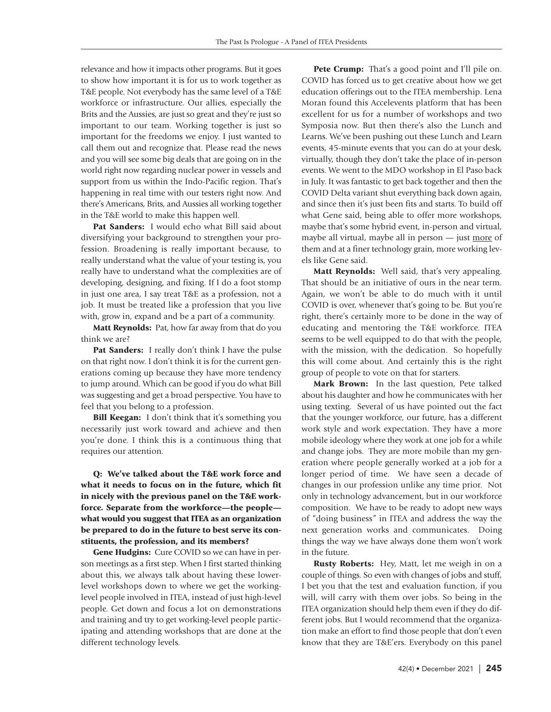relevance and how it impacts other programs. But it goes to show how important it is for us to work together as T&E people. Not everybody has the same level of a T&E workforce or infrastructure. Our allies, especially the Brits and the Aussies, are just so great and they're just so important to our team. Working together is just so important for the freedoms we enjoy. I just wanted to call them out and recognize that. Please read the news and you will see some big deals that are going on in the world right now regarding nuclear power in vessels and support from us within the Indo-Pacific region. That's happening in real time with our testers right now. And there's Americans, Brits, and Aussies all working together in the T&E world to make this happen well.

**Pat Sanders:** I would echo what Bill said about diversifying your background to strengthen your profession. Broadening is really important because, to really understand what the value of your testing is, you really have to understand what the complexities are of developing, designing, and fixing. If I do a foot stomp in just one area, I say treat T&E as a profession, not a job. It must be treated like a profession that you live with, grow in, expand and be a part of a community.

**Matt Reynolds:** Pat, how far away from that do you think we are?

**Pat Sanders:** I really don't think I have the pulse on that right now. I don't think it is for the current generations coming up because they have more tendency to jump around. Which can be good if you do what Bill was suggesting and get a broad perspective. You have to feel that you belong to a profession.

**Bill Keegan:** I don't think that it's something you necessarily just work toward and achieve and then you're done. I think this is a continuous thing that requires our attention.

**Q: We've talked about the T&E work force and what it needs to focus on in the future, which fit in nicely with the previous panel on the T&E workforce. Separate from the workforce—the people what would you suggest that ITEA as an organization be prepared to do in the future to best serve its constituents, the profession, and its members?**

**Gene Hudgins:** Cure COVID so we can have in person meetings as a first step. When I first started thinking about this, we always talk about having these lowerlevel workshops down to where we get the workinglevel people involved in ITEA, instead of just high-level people. Get down and focus a lot on demonstrations and training and try to get working-level people participating and attending workshops that are done at the different technology levels.

Pete Crump: That's a good point and I'll pile on. COVID has forced us to get creative about how we get education offerings out to the ITEA membership. Lena Moran found this Accelevents platform that has been excellent for us for a number of workshops and two Symposia now. But then there's also the Lunch and Learns. We've been pushing out these Lunch and Learn events, 45-minute events that you can do at your desk, virtually, though they don't take the place of in-person events. We went to the MDO workshop in El Paso back in July. It was fantastic to get back together and then the COVID Delta variant shut everything back down again, and since then it's just been fits and starts. To build off what Gene said, being able to offer more workshops, maybe that's some hybrid event, in-person and virtual, maybe all virtual, maybe all in person — just more of them and at a finer technology grain, more working levels like Gene said.

**Matt Reynolds:** Well said, that's very appealing. That should be an initiative of ours in the near term. Again, we won't be able to do much with it until COVID is over, whenever that's going to be. But you're right, there's certainly more to be done in the way of educating and mentoring the T&E workforce. ITEA seems to be well equipped to do that with the people, with the mission, with the dedication. So hopefully this will come about. And certainly this is the right group of people to vote on that for starters.

**Mark Brown:** In the last question, Pete talked about his daughter and how he communicates with her using texting. Several of us have pointed out the fact that the younger workforce, our future, has a different work style and work expectation. They have a more mobile ideology where they work at one job for a while and change jobs. They are more mobile than my generation where people generally worked at a job for a longer period of time. We have seen a decade of changes in our profession unlike any time prior. Not only in technology advancement, but in our workforce composition. We have to be ready to adopt new ways of "doing business" in ITEA and address the way the next generation works and communicates. Doing things the way we have always done them won't work in the future.

**Rusty Roberts:** Hey, Matt, let me weigh in on a couple of things. So even with changes of jobs and stuff, I bet you that the test and evaluation function, if you will, will carry with them over jobs. So being in the ITEA organization should help them even if they do different jobs. But I would recommend that the organization make an effort to find those people that don't even know that they are T&E'ers. Everybody on this panel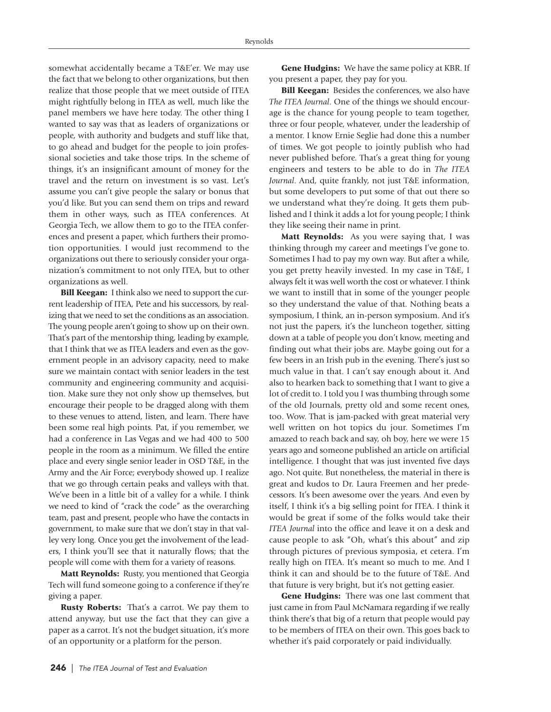somewhat accidentally became a T&E'er. We may use the fact that we belong to other organizations, but then realize that those people that we meet outside of ITEA might rightfully belong in ITEA as well, much like the panel members we have here today. The other thing I wanted to say was that as leaders of organizations or people, with authority and budgets and stuff like that, to go ahead and budget for the people to join professional societies and take those trips. In the scheme of things, it's an insignificant amount of money for the travel and the return on investment is so vast. Let's assume you can't give people the salary or bonus that you'd like. But you can send them on trips and reward them in other ways, such as ITEA conferences. At Georgia Tech, we allow them to go to the ITEA conferences and present a paper, which furthers their promotion opportunities. I would just recommend to the organizations out there to seriously consider your organization's commitment to not only ITEA, but to other organizations as well.

**Bill Keegan:** I think also we need to support the current leadership of ITEA, Pete and his successors, by realizing that we need to set the conditions as an association. The young people aren't going to show up on their own. That's part of the mentorship thing, leading by example, that I think that we as ITEA leaders and even as the government people in an advisory capacity, need to make sure we maintain contact with senior leaders in the test community and engineering community and acquisition. Make sure they not only show up themselves, but encourage their people to be dragged along with them to these venues to attend, listen, and learn. There have been some real high points. Pat, if you remember, we had a conference in Las Vegas and we had 400 to 500 people in the room as a minimum. We filled the entire place and every single senior leader in OSD T&E, in the Army and the Air Force; everybody showed up. I realize that we go through certain peaks and valleys with that. We've been in a little bit of a valley for a while. I think we need to kind of "crack the code" as the overarching team, past and present, people who have the contacts in government, to make sure that we don't stay in that valley very long. Once you get the involvement of the leaders, I think you'll see that it naturally flows; that the people will come with them for a variety of reasons.

**Matt Reynolds:** Rusty, you mentioned that Georgia Tech will fund someone going to a conference if they're giving a paper.

**Rusty Roberts:** That's a carrot. We pay them to attend anyway, but use the fact that they can give a paper as a carrot. It's not the budget situation, it's more of an opportunity or a platform for the person.

**Gene Hudgins:** We have the same policy at KBR. If you present a paper, they pay for you.

**Bill Keegan:** Besides the conferences, we also have *The ITEA Journal*. One of the things we should encourage is the chance for young people to team together, three or four people, whatever, under the leadership of a mentor. I know Ernie Seglie had done this a number of times. We got people to jointly publish who had never published before. That's a great thing for young engineers and testers to be able to do in *The ITEA Journal*. And, quite frankly, not just T&E information, but some developers to put some of that out there so we understand what they're doing. It gets them published and I think it adds a lot for young people; I think they like seeing their name in print.

**Matt Reynolds:** As you were saying that, I was thinking through my career and meetings I've gone to. Sometimes I had to pay my own way. But after a while, you get pretty heavily invested. In my case in T&E, I always felt it was well worth the cost or whatever. I think we want to instill that in some of the younger people so they understand the value of that. Nothing beats a symposium, I think, an in-person symposium. And it's not just the papers, it's the luncheon together, sitting down at a table of people you don't know, meeting and finding out what their jobs are. Maybe going out for a few beers in an Irish pub in the evening. There's just so much value in that. I can't say enough about it. And also to hearken back to something that I want to give a lot of credit to. I told you I was thumbing through some of the old Journals, pretty old and some recent ones, too. Wow. That is jam-packed with great material very well written on hot topics du jour. Sometimes I'm amazed to reach back and say, oh boy, here we were 15 years ago and someone published an article on artificial intelligence. I thought that was just invented five days ago. Not quite. But nonetheless, the material in there is great and kudos to Dr. Laura Freemen and her predecessors. It's been awesome over the years. And even by itself, I think it's a big selling point for ITEA. I think it would be great if some of the folks would take their *ITEA Journal* into the office and leave it on a desk and cause people to ask "Oh, what's this about" and zip through pictures of previous symposia, et cetera. I'm really high on ITEA. It's meant so much to me. And I think it can and should be to the future of T&E. And that future is very bright, but it's not getting easier.

**Gene Hudgins:** There was one last comment that just came in from Paul McNamara regarding if we really think there's that big of a return that people would pay to be members of ITEA on their own. This goes back to whether it's paid corporately or paid individually.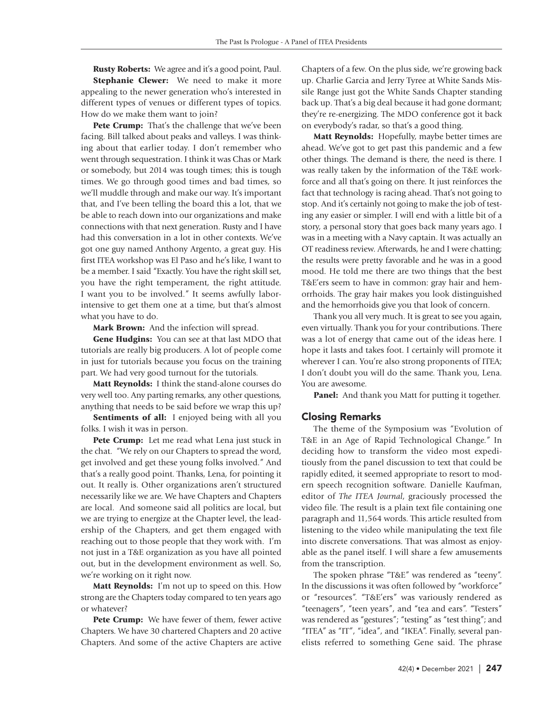**Rusty Roberts:** We agree and it's a good point, Paul. **Stephanie Clewer:** We need to make it more appealing to the newer generation who's interested in different types of venues or different types of topics. How do we make them want to join?

**Pete Crump:** That's the challenge that we've been facing. Bill talked about peaks and valleys. I was thinking about that earlier today. I don't remember who went through sequestration. I think it was Chas or Mark or somebody, but 2014 was tough times; this is tough times. We go through good times and bad times, so we'll muddle through and make our way. It's important that, and I've been telling the board this a lot, that we be able to reach down into our organizations and make connections with that next generation. Rusty and I have had this conversation in a lot in other contexts. We've got one guy named Anthony Argento, a great guy. His first ITEA workshop was El Paso and he's like, I want to be a member. I said "Exactly. You have the right skill set, you have the right temperament, the right attitude. I want you to be involved." It seems awfully laborintensive to get them one at a time, but that's almost what you have to do.

**Mark Brown:** And the infection will spread.

**Gene Hudgins:** You can see at that last MDO that tutorials are really big producers. A lot of people come in just for tutorials because you focus on the training part. We had very good turnout for the tutorials.

**Matt Reynolds:** I think the stand-alone courses do very well too. Any parting remarks, any other questions, anything that needs to be said before we wrap this up?

**Sentiments of all:** I enjoyed being with all you folks. I wish it was in person.

**Pete Crump:** Let me read what Lena just stuck in the chat. "We rely on our Chapters to spread the word, get involved and get these young folks involved." And that's a really good point. Thanks, Lena, for pointing it out. It really is. Other organizations aren't structured necessarily like we are. We have Chapters and Chapters are local. And someone said all politics are local, but we are trying to energize at the Chapter level, the leadership of the Chapters, and get them engaged with reaching out to those people that they work with. I'm not just in a T&E organization as you have all pointed out, but in the development environment as well. So, we're working on it right now.

**Matt Reynolds:** I'm not up to speed on this. How strong are the Chapters today compared to ten years ago or whatever?

**Pete Crump:** We have fewer of them, fewer active Chapters. We have 30 chartered Chapters and 20 active Chapters. And some of the active Chapters are active Chapters of a few. On the plus side, we're growing back up. Charlie Garcia and Jerry Tyree at White Sands Missile Range just got the White Sands Chapter standing back up. That's a big deal because it had gone dormant; they're re-energizing. The MDO conference got it back on everybody's radar, so that's a good thing.

**Matt Reynolds:** Hopefully, maybe better times are ahead. We've got to get past this pandemic and a few other things. The demand is there, the need is there. I was really taken by the information of the T&E workforce and all that's going on there. It just reinforces the fact that technology is racing ahead. That's not going to stop. And it's certainly not going to make the job of testing any easier or simpler. I will end with a little bit of a story, a personal story that goes back many years ago. I was in a meeting with a Navy captain. It was actually an OT readiness review. Afterwards, he and I were chatting; the results were pretty favorable and he was in a good mood. He told me there are two things that the best T&E'ers seem to have in common: gray hair and hemorrhoids. The gray hair makes you look distinguished and the hemorrhoids give you that look of concern.

Thank you all very much. It is great to see you again, even virtually. Thank you for your contributions. There was a lot of energy that came out of the ideas here. I hope it lasts and takes foot. I certainly will promote it wherever I can. You're also strong proponents of ITEA; I don't doubt you will do the same. Thank you, Lena. You are awesome.

**Panel:** And thank you Matt for putting it together.

#### Closing Remarks

The theme of the Symposium was "Evolution of T&E in an Age of Rapid Technological Change." In deciding how to transform the video most expeditiously from the panel discussion to text that could be rapidly edited, it seemed appropriate to resort to modern speech recognition software. Danielle Kaufman, editor of *The ITEA Journal*, graciously processed the video file. The result is a plain text file containing one paragraph and 11,564 words. This article resulted from listening to the video while manipulating the text file into discrete conversations. That was almost as enjoyable as the panel itself. I will share a few amusements from the transcription.

The spoken phrase "T&E" was rendered as "teeny". In the discussions it was often followed by "workforce" or "resources". "T&E'ers" was variously rendered as "teenagers", "teen years", and "tea and ears". "Testers" was rendered as "gestures"; "testing" as "test thing"; and "ITEA" as "IT", "idea", and "IKEA". Finally, several panelists referred to something Gene said. The phrase